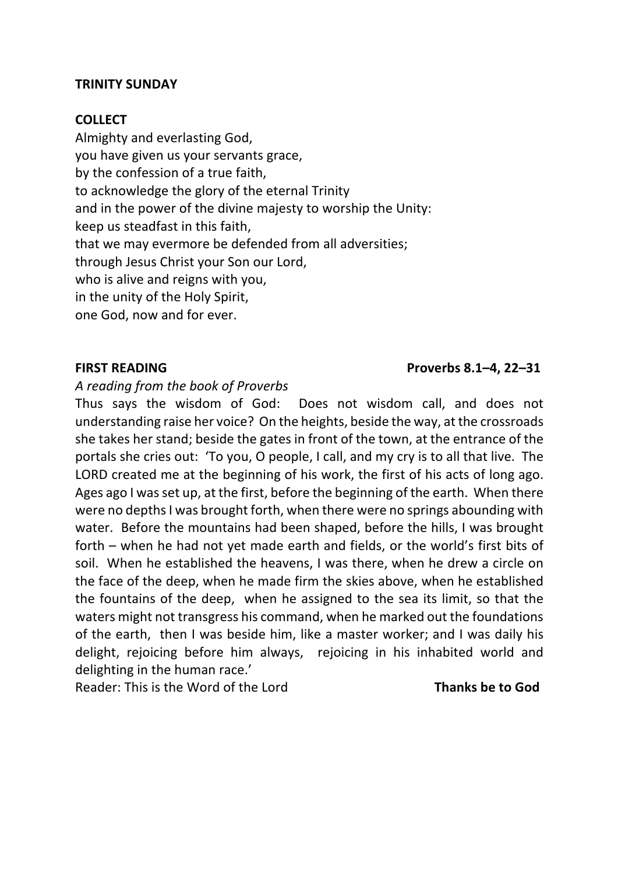### **TRINITY SUNDAY**

### **COLLECT**

Almighty and everlasting God, you have given us your servants grace, by the confession of a true faith, to acknowledge the glory of the eternal Trinity and in the power of the divine majesty to worship the Unity: keep us steadfast in this faith, that we may evermore be defended from all adversities; through Jesus Christ your Son our Lord, who is alive and reigns with you, in the unity of the Holy Spirit, one God, now and for ever.

## *A reading from the book of Proverbs*

Thus says the wisdom of God: Does not wisdom call, and does not understanding raise her voice? On the heights, beside the way, at the crossroads she takes her stand; beside the gates in front of the town, at the entrance of the portals she cries out: 'To you, O people, I call, and my cry is to all that live. The LORD created me at the beginning of his work, the first of his acts of long ago. Ages ago I was set up, at the first, before the beginning of the earth. When there were no depths I was brought forth, when there were no springs abounding with water. Before the mountains had been shaped, before the hills, I was brought forth – when he had not yet made earth and fields, or the world's first bits of soil. When he established the heavens, I was there, when he drew a circle on the face of the deep, when he made firm the skies above, when he established the fountains of the deep, when he assigned to the sea its limit, so that the waters might not transgress his command, when he marked out the foundations of the earth, then I was beside him, like a master worker; and I was daily his delight, rejoicing before him always, rejoicing in his inhabited world and delighting in the human race.'

Reader: This is the Word of the Lord **Thanks be to God**

## FIRST READING **Proverbs 8.1–4, 22–31**